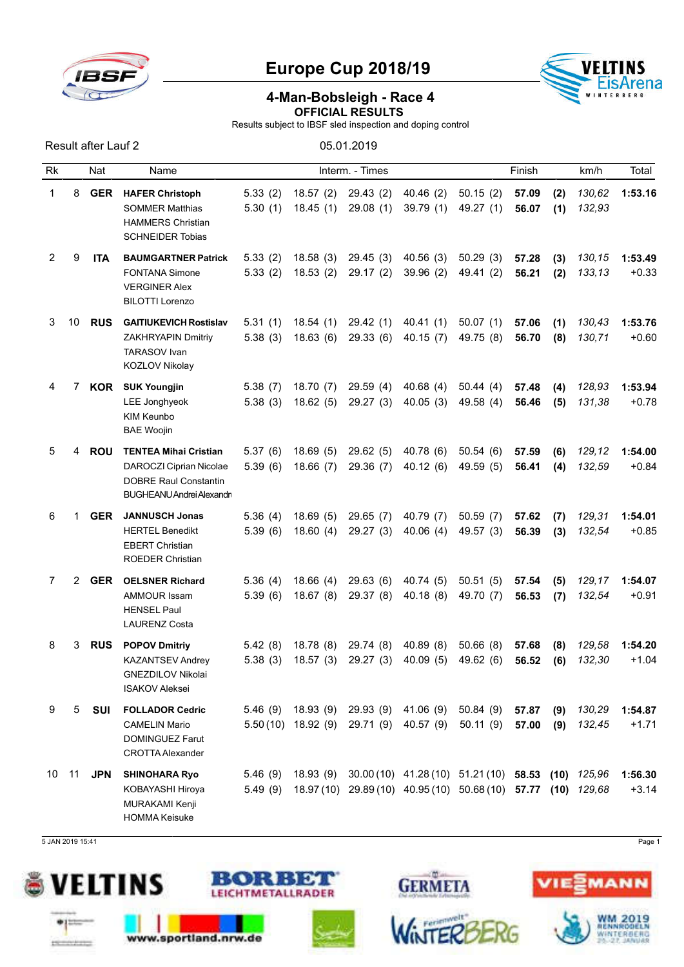

Result after Lauf 2 05.01.2019

## Europe Cup 2018/19



## 4-Man-Bobsleigh - Race 4 OFFICIAL RESULTS

Results subject to IBSF sled inspection and doping control

| Rk |                | Nat        | Name                                                                                                                 |                    |                                             | Interm. - Times       |                        |                                                                                                                 | Finish         |            | km/h             | Total              |
|----|----------------|------------|----------------------------------------------------------------------------------------------------------------------|--------------------|---------------------------------------------|-----------------------|------------------------|-----------------------------------------------------------------------------------------------------------------|----------------|------------|------------------|--------------------|
| 1  | 8              | <b>GER</b> | <b>HAFER Christoph</b><br><b>SOMMER Matthias</b><br><b>HAMMERS Christian</b><br><b>SCHNEIDER Tobias</b>              | 5.33(2)<br>5.30(1) | 18.57(2)<br>18.45(1)                        | 29.43 (2)<br>29.08(1) | 40.46(2)<br>39.79(1)   | 50.15(2)<br>49.27 (1)                                                                                           | 57.09<br>56.07 | (2)<br>(1) | 130,62<br>132,93 | 1:53.16            |
| 2  | 9              | <b>ITA</b> | <b>BAUMGARTNER Patrick</b><br><b>FONTANA Simone</b><br><b>VERGINER Alex</b><br><b>BILOTTI Lorenzo</b>                | 5.33(2)<br>5.33(2) | 18.58(3)<br>18.53(2)                        | 29.45(3)<br>29.17(2)  | 40.56(3)<br>39.96(2)   | 50.29(3)<br>49.41 (2)                                                                                           | 57.28<br>56.21 | (3)<br>(2) | 130,15<br>133,13 | 1:53.49<br>$+0.33$ |
| 3  | 10             | <b>RUS</b> | <b>GAITIUKEVICH Rostislav</b><br>ZAKHRYAPIN Dmitriy<br><b>TARASOV Ivan</b><br>KOZLOV Nikolay                         | 5.31(1)<br>5.38(3) | 18.54(1)<br>18.63(6)                        | 29.42(1)<br>29.33(6)  | 40.41(1)<br>40.15(7)   | 50.07(1)<br>49.75 (8)                                                                                           | 57.06<br>56.70 | (1)<br>(8) | 130,43<br>130,71 | 1:53.76<br>$+0.60$ |
| 4  | 7              | KOR        | <b>SUK Youngjin</b><br>LEE Jonghyeok<br><b>KIM Keunbo</b><br><b>BAE Woojin</b>                                       | 5.38(7)<br>5.38(3) | 18.70(7)<br>18.62(5)                        | 29.59(4)<br>29.27(3)  | 40.68(4)<br>40.05(3)   | 50.44(4)<br>49.58 (4)                                                                                           | 57.48<br>56.46 | (4)<br>(5) | 128,93<br>131,38 | 1:53.94<br>$+0.78$ |
| 5  | 4              | <b>ROU</b> | <b>TENTEA Mihai Cristian</b><br>DAROCZI Ciprian Nicolae<br><b>DOBRE Raul Constantin</b><br>BUGHEANU Andrei Alexandri | 5.37(6)<br>5.39(6) | 18.69(5)<br>18.66(7)                        | 29.62(5)<br>29.36(7)  | 40.78 (6)<br>40.12(6)  | 50.54(6)<br>49.59 (5)                                                                                           | 57.59<br>56.41 | (6)<br>(4) | 129,12<br>132,59 | 1:54.00<br>$+0.84$ |
| 6  | 1              | <b>GER</b> | <b>JANNUSCH Jonas</b><br><b>HERTEL Benedikt</b><br><b>EBERT Christian</b><br><b>ROEDER Christian</b>                 | 5.36(4)<br>5.39(6) | 18.69(5)<br>18.60(4)                        | 29.65(7)<br>29.27(3)  | 40.79 (7)<br>40.06(4)  | 50.59(7)<br>49.57 (3)                                                                                           | 57.62<br>56.39 | (7)<br>(3) | 129,31<br>132,54 | 1:54.01<br>$+0.85$ |
| 7  | $\overline{2}$ | <b>GER</b> | <b>OELSNER Richard</b><br><b>AMMOUR Issam</b><br><b>HENSEL Paul</b><br><b>LAURENZ Costa</b>                          | 5.36(4)<br>5.39(6) | 18.66(4)<br>18.67(8)                        | 29.63(6)<br>29.37 (8) | 40.74 (5)<br>40.18(8)  | 50.51(5)<br>49.70 (7)                                                                                           | 57.54<br>56.53 | (5)<br>(7) | 129,17<br>132,54 | 1:54.07<br>$+0.91$ |
| 8  | 3              | <b>RUS</b> | <b>POPOV Dmitriy</b><br><b>KAZANTSEV Andrey</b><br><b>GNEZDILOV Nikolai</b><br><b>ISAKOV Aleksei</b>                 | 5.42(8)<br>5.38(3) | 18.78 (8)<br>18.57(3)                       | 29.74 (8)<br>29.27(3) | 40.89(8)<br>40.09(5)   | 50.66(8)<br>49.62 (6)                                                                                           | 57.68<br>56.52 | (8)<br>(6) | 129,58<br>132,30 | 1:54.20<br>$+1.04$ |
| 9  | 5              | SUI        | <b>FOLLADOR Cedric</b><br><b>CAMELIN Mario</b><br><b>DOMINGUEZ Farut</b><br><b>CROTTA Alexander</b>                  | 5.46(9)            | 18.93 (9)<br>$5.50(10)$ 18.92 (9) 29.71 (9) | 29.93 (9)             | 41.06 (9)<br>40.57 (9) | 50.84 (9)<br>50.11(9)                                                                                           | 57.87<br>57.00 | (9)<br>(9) | 130,29<br>132,45 | 1:54.87<br>$+1.71$ |
| 10 | 11             | JPN        | <b>SHINOHARA Ryo</b><br>KOBAYASHI Hiroya<br>MURAKAMI Kenji<br><b>HOMMA Keisuke</b>                                   | 5.46(9)<br>5.49(9) | 18.93 (9)                                   |                       |                        | 30.00 (10) 41.28 (10) 51.21 (10) 58.53 (10) 125,96<br>18.97(10) 29.89(10) 40.95(10) 50.68(10) 57.77 (10) 129,68 |                |            |                  | 1:56.30<br>$+3.14$ |

5 JAN 2019 15:41 Page 1





www.sportland.nrw.de